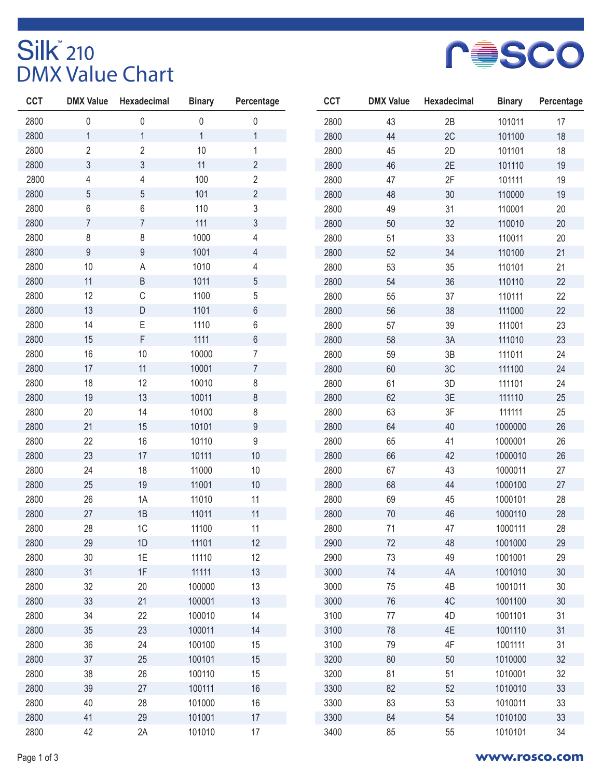## Silk<sup>®</sup> 210<br>DMX Value Chart



| <b>CCT</b> | <b>DMX Value</b> | Hexadecimal    | <b>Binary</b> | Percentage     |
|------------|------------------|----------------|---------------|----------------|
| 2800       | 0                | 0              | $\pmb{0}$     | 0              |
| 2800       | $\overline{1}$   | $\mathbf 1$    | $\mathbf{1}$  | $\mathbf{1}$   |
| 2800       | $\overline{2}$   | $\overline{2}$ | 10            | $\mathbf 1$    |
| 2800       | 3                | 3              | 11            | $\overline{c}$ |
| 2800       | $\overline{4}$   | 4              | 100           | $\sqrt{2}$     |
| 2800       | 5                | 5              | 101           | $\overline{2}$ |
| 2800       | 6                | 6              | 110           | 3              |
| 2800       | $\overline{7}$   | $\overline{7}$ | 111           | 3              |
| 2800       | 8                | 8              | 1000          | $\overline{4}$ |
| 2800       | $\mathsf g$      | 9              | 1001          | $\overline{4}$ |
| 2800       | 10               | A              | 1010          | $\overline{4}$ |
| 2800       | 11               | B              | 1011          | 5              |
| 2800       | 12               | C              | 1100          | 5              |
| 2800       | 13               | D              | 1101          | $6\,$          |
| 2800       | 14               | E              | 1110          | 6              |
| 2800       | 15               | F              | 1111          | 6              |
| 2800       | 16               | 10             | 10000         | $\overline{7}$ |
| 2800       | 17               | 11             | 10001         | $\overline{7}$ |
| 2800       | 18               | 12             | 10010         | 8              |
| 2800       | 19               | 13             | 10011         | 8              |
| 2800       | 20               | 14             | 10100         | 8              |
| 2800       | 21               | 15             | 10101         | 9              |
| 2800       | 22               | 16             | 10110         | 9              |
| 2800       | 23               | 17             | 10111         | 10             |
| 2800       | 24               | 18             | 11000         | 10             |
| 2800       | 25               | 19             | 11001         | 10             |
| 2800       | 26               | 1A             | 11010         | 11             |
| 2800       | 27               | 1B             | 11011         | 11             |
| 2800       | 28               | 1C             | 11100         | 11             |
| 2800       | 29               | 1D             | 11101         | 12             |
| 2800       | 30               | 1E             | 11110         | 12             |
| 2800       | 31               | 1F             | 11111         | 13             |
| 2800       | 32               | 20             | 100000        | 13             |
| 2800       | 33               | 21             | 100001        | 13             |
| 2800       | 34               | 22             | 100010        | 14             |
| 2800       | 35               | 23             | 100011        | 14             |
| 2800       | 36               | 24             | 100100        | 15             |
| 2800       | 37               | 25             | 100101        | 15             |
| 2800       | 38               | 26             | 100110        | 15             |
| 2800       | 39               | 27             | 100111        | 16             |
| 2800       | 40               | 28             | 101000        | 16             |
| 2800       | 41               | 29             | 101001        | 17             |
| 2800       | 42               | 2A             | 101010        | 17             |

| <b>CCT</b> | <b>DMX Value</b> | <b>Hexadecimal</b> | <b>Binary</b> | Percentage |
|------------|------------------|--------------------|---------------|------------|
| 2800       | 43               | 2B                 | 101011        | 17         |
| 2800       | 44               | 2C                 | 101100        | 18         |
| 2800       | 45               | 2D                 | 101101        | 18         |
| 2800       | 46               | 2E                 | 101110        | 19         |
| 2800       | 47               | 2F                 | 101111        | 19         |
| 2800       | 48               | 30                 | 110000        | 19         |
| 2800       | 49               | 31                 | 110001        | 20         |
| 2800       | 50               | 32                 | 110010        | 20         |
| 2800       | 51               | 33                 | 110011        | 20         |
| 2800       | 52               | 34                 | 110100        | 21         |
| 2800       | 53               | 35                 | 110101        | 21         |
| 2800       | 54               | 36                 | 110110        | 22         |
| 2800       | 55               | 37                 | 110111        | 22         |
| 2800       | 56               | 38                 | 111000        | 22         |
| 2800       | 57               | 39                 | 111001        | 23         |
| 2800       | 58               | 3A                 | 111010        | 23         |
| 2800       | 59               | 3B                 | 111011        | 24         |
| 2800       | 60               | 3C                 | 111100        | 24         |
| 2800       | 61               | 3D                 | 111101        | 24         |
| 2800       | 62               | 3E                 | 111110        | 25         |
| 2800       | 63               | 3F                 | 111111        | 25         |
| 2800       | 64               | 40                 | 1000000       | 26         |
| 2800       | 65               | 41                 | 1000001       | 26         |
| 2800       | 66               | 42                 | 1000010       | 26         |
| 2800       | 67               | 43                 | 1000011       | 27         |
| 2800       | 68               | 44                 | 1000100       | 27         |
| 2800       | 69               | 45                 | 1000101       | 28         |
| 2800       | 70               | 46                 | 1000110       | 28         |
| 2800       | 71               | 47                 | 1000111       | 28         |
| 2900       | 72               | 48                 | 1001000       | 29         |
| 2900       | 73               | 49                 | 1001001       | 29         |
| 3000       | 74               | 4A                 | 1001010       | 30         |
| 3000       | 75               | 4B                 | 1001011       | 30         |
| 3000       | 76               | 4C                 | 1001100       | 30         |
| 3100       | 77               | 4D                 | 1001101       | 31         |
| 3100       | 78               | 4E                 | 1001110       | 31         |
| 3100       | 79               | 4F                 | 1001111       | 31         |
| 3200       | 80               | 50                 | 1010000       | 32         |
| 3200       | 81               | 51                 | 1010001       | 32         |
| 3300       | 82               | 52                 | 1010010       | 33         |
| 3300       | 83               | 53                 | 1010011       | 33         |
| 3300       | 84               | 54                 | 1010100       | 33         |
| 3400       | 85               | 55                 | 1010101       | 34         |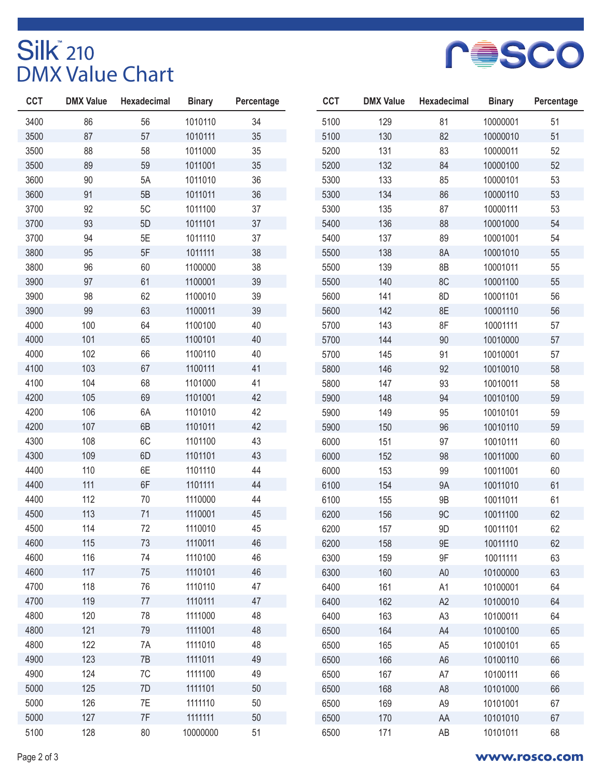## Silk<sup>®</sup> 210<br>DMX Value Chart



| <b>CCT</b> | <b>DMX Value</b> | <b>Hexadecimal</b> | <b>Binary</b> | Percentage |
|------------|------------------|--------------------|---------------|------------|
| 3400       | 86               | 56                 | 1010110       | 34         |
| 3500       | 87               | 57                 | 1010111       | 35         |
| 3500       | 88               | 58                 | 1011000       | 35         |
| 3500       | 89               | 59                 | 1011001       | 35         |
| 3600       | 90               | 5A                 | 1011010       | 36         |
| 3600       | 91               | 5B                 | 1011011       | 36         |
| 3700       | 92               | 5C                 | 1011100       | 37         |
| 3700       | 93               | 5D                 | 1011101       | 37         |
| 3700       | 94               | 5E                 | 1011110       | 37         |
| 3800       | 95               | 5F                 | 1011111       | 38         |
| 3800       | 96               | 60                 | 1100000       | 38         |
| 3900       | 97               | 61                 | 1100001       | 39         |
| 3900       | 98               | 62                 | 1100010       | 39         |
| 3900       | 99               | 63                 | 1100011       | 39         |
| 4000       | 100              | 64                 | 1100100       | 40         |
| 4000       | 101              | 65                 | 1100101       | 40         |
| 4000       | 102              | 66                 | 1100110       | 40         |
| 4100       | 103              | 67                 | 1100111       | 41         |
| 4100       | 104              | 68                 | 1101000       | 41         |
| 4200       | 105              | 69                 | 1101001       | 42         |
| 4200       | 106              | 6A                 | 1101010       | 42         |
| 4200       | 107              | 6B                 | 1101011       | 42         |
| 4300       | 108              | 6C                 | 1101100       | 43         |
| 4300       | 109              | 6D                 | 1101101       | 43         |
| 4400       | 110              | 6E                 | 1101110       | 44         |
| 4400       | 111              | 6F                 | 1101111       | 44         |
| 4400       | 112              | 70                 | 1110000       | 44         |
| 4500       | 113              | 71                 | 1110001       | 45         |
| 4500       | 114              | 72                 | 1110010       | 45         |
| 4600       | 115              | 73                 | 1110011       | 46         |
| 4600       | 116              | 74                 | 1110100       | 46         |
| 4600       | 117              | 75                 | 1110101       | 46         |
| 4700       | 118              | 76                 | 1110110       | 47         |
| 4700       | 119              | 77                 | 1110111       | 47         |
| 4800       | 120              | 78                 | 1111000       | 48         |
| 4800       | 121              | 79                 | 1111001       | 48         |
| 4800       | 122              | 7A                 | 1111010       | 48         |
| 4900       | 123              | 7B                 | 1111011       | 49         |
| 4900       | 124              | 7C                 | 1111100       | 49         |
| 5000       | 125              | 7D                 | 1111101       | 50         |
| 5000       | 126              | 7E                 | 1111110       | 50         |
| 5000       | 127              | 7F                 | 1111111       | 50         |
| 5100       | 128              | 80                 | 10000000      | 51         |

| <b>CCT</b> | <b>DMX Value</b> | <b>Hexadecimal</b> | <b>Binary</b> | Percentage |
|------------|------------------|--------------------|---------------|------------|
| 5100       | 129              | 81                 | 10000001      | 51         |
| 5100       | 130              | 82                 | 10000010      | 51         |
| 5200       | 131              | 83                 | 10000011      | 52         |
| 5200       | 132              | 84                 | 10000100      | 52         |
| 5300       | 133              | 85                 | 10000101      | 53         |
| 5300       | 134              | 86                 | 10000110      | 53         |
| 5300       | 135              | 87                 | 10000111      | 53         |
| 5400       | 136              | 88                 | 10001000      | 54         |
| 5400       | 137              | 89                 | 10001001      | 54         |
| 5500       | 138              | 8A                 | 10001010      | 55         |
| 5500       | 139              | 8B                 | 10001011      | 55         |
| 5500       | 140              | 8C                 | 10001100      | 55         |
| 5600       | 141              | 8D                 | 10001101      | 56         |
| 5600       | 142              | 8E                 | 10001110      | 56         |
| 5700       | 143              | 8F                 | 10001111      | 57         |
| 5700       | 144              | 90                 | 10010000      | 57         |
| 5700       | 145              | 91                 | 10010001      | 57         |
| 5800       | 146              | 92                 | 10010010      | 58         |
| 5800       | 147              | 93                 | 10010011      | 58         |
| 5900       | 148              | 94                 | 10010100      | 59         |
| 5900       | 149              | 95                 | 10010101      | 59         |
| 5900       | 150              | 96                 | 10010110      | 59         |
| 6000       | 151              | 97                 | 10010111      | 60         |
| 6000       | 152              | 98                 | 10011000      | 60         |
| 6000       | 153              | 99                 | 10011001      | 60         |
| 6100       | 154              | <b>9A</b>          | 10011010      | 61         |
| 6100       | 155              | 9B                 | 10011011      | 61         |
| 6200       | 156              | 9C                 | 10011100      | 62         |
| 6200       | 157              | 9D                 | 10011101      | 62         |
| 6200       | 158              | 9E                 | 10011110      | 62         |
| 6300       | 159              | 9F                 | 10011111      | 63         |
| 6300       | 160              | A <sub>0</sub>     | 10100000      | 63         |
| 6400       | 161              | A1                 | 10100001      | 64         |
| 6400       | 162              | A2                 | 10100010      | 64         |
| 6400       | 163              | A <sub>3</sub>     | 10100011      | 64         |
| 6500       | 164              | A4                 | 10100100      | 65         |
| 6500       | 165              | A <sub>5</sub>     | 10100101      | 65         |
| 6500       | 166              | A <sub>6</sub>     | 10100110      | 66         |
| 6500       | 167              | A7                 | 10100111      | 66         |
| 6500       | 168              | A <sub>8</sub>     | 10101000      | 66         |
| 6500       | 169              | A <sub>9</sub>     | 10101001      | 67         |
| 6500       | 170              | AA                 | 10101010      | 67         |
| 6500       | 171              | AB                 | 10101011      | 68         |

## Page 2 of 3 **www.rosco.com**